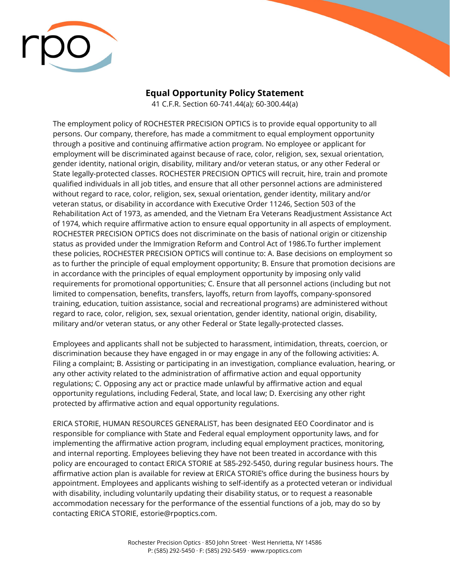

## **Equal Opportunity Policy Statement**

41 C.F.R. Section 60-741.44(a); 60-300.44(a)

The employment policy of ROCHESTER PRECISION OPTICS is to provide equal opportunity to all persons. Our company, therefore, has made a commitment to equal employment opportunity through a positive and continuing affirmative action program. No employee or applicant for employment will be discriminated against because of race, color, religion, sex, sexual orientation, gender identity, national origin, disability, military and/or veteran status, or any other Federal or State legally-protected classes. ROCHESTER PRECISION OPTICS will recruit, hire, train and promote qualified individuals in all job titles, and ensure that all other personnel actions are administered without regard to race, color, religion, sex, sexual orientation, gender identity, military and/or veteran status, or disability in accordance with Executive Order 11246, Section 503 of the Rehabilitation Act of 1973, as amended, and the Vietnam Era Veterans Readjustment Assistance Act of 1974, which require affirmative action to ensure equal opportunity in all aspects of employment. ROCHESTER PRECISION OPTICS does not discriminate on the basis of national origin or citizenship status as provided under the Immigration Reform and Control Act of 1986.To further implement these policies, ROCHESTER PRECISION OPTICS will continue to: A. Base decisions on employment so as to further the principle of equal employment opportunity; B. Ensure that promotion decisions are in accordance with the principles of equal employment opportunity by imposing only valid requirements for promotional opportunities; C. Ensure that all personnel actions (including but not limited to compensation, benefits, transfers, layoffs, return from layoffs, company-sponsored training, education, tuition assistance, social and recreational programs) are administered without regard to race, color, religion, sex, sexual orientation, gender identity, national origin, disability, military and/or veteran status, or any other Federal or State legally-protected classes.

Employees and applicants shall not be subjected to harassment, intimidation, threats, coercion, or discrimination because they have engaged in or may engage in any of the following activities: A. Filing a complaint; B. Assisting or participating in an investigation, compliance evaluation, hearing, or any other activity related to the administration of affirmative action and equal opportunity regulations; C. Opposing any act or practice made unlawful by affirmative action and equal opportunity regulations, including Federal, State, and local law; D. Exercising any other right protected by affirmative action and equal opportunity regulations.

ERICA STORIE, HUMAN RESOURCES GENERALIST, has been designated EEO Coordinator and is responsible for compliance with State and Federal equal employment opportunity laws, and for implementing the affirmative action program, including equal employment practices, monitoring, and internal reporting. Employees believing they have not been treated in accordance with this policy are encouraged to contact ERICA STORIE at 585-292-5450, during regular business hours. The affirmative action plan is available for review at ERICA STORIE's office during the business hours by appointment. Employees and applicants wishing to self-identify as a protected veteran or individual with disability, including voluntarily updating their disability status, or to request a reasonable accommodation necessary for the performance of the essential functions of a job, may do so by contacting ERICA STORIE, estorie@rpoptics.com.